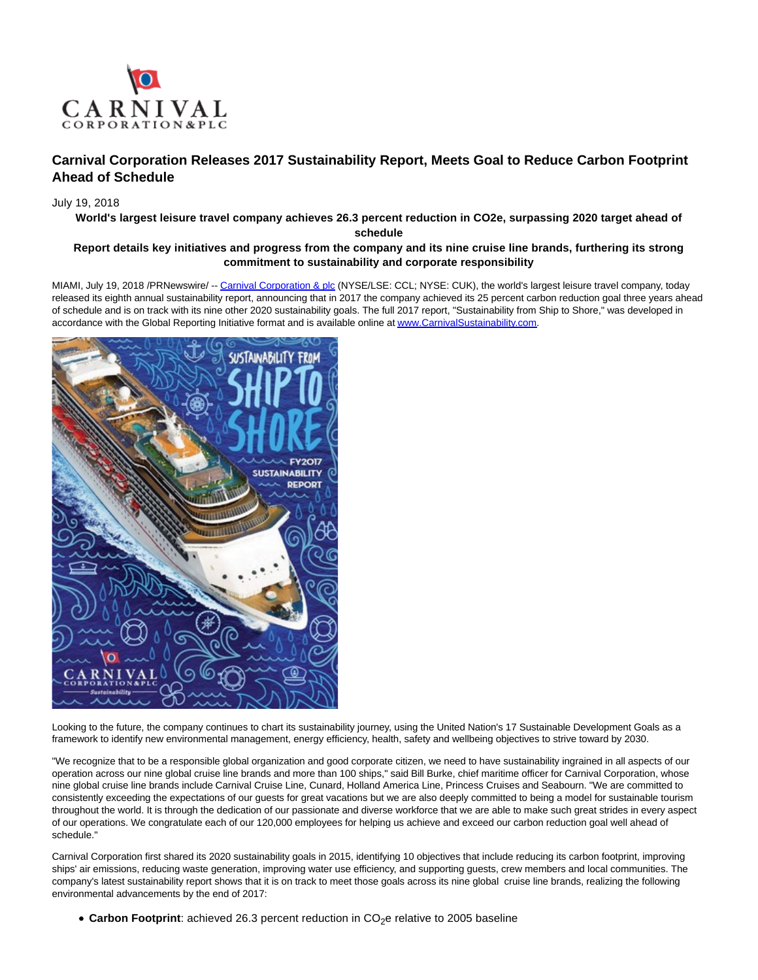

# **Carnival Corporation Releases 2017 Sustainability Report, Meets Goal to Reduce Carbon Footprint Ahead of Schedule**

## July 19, 2018

**World's largest leisure travel company achieves 26.3 percent reduction in CO2e, surpassing 2020 target ahead of**

**schedule**

## **Report details key initiatives and progress from the company and its nine cruise line brands, furthering its strong commitment to sustainability and corporate responsibility**

MIAMI, July 19, 2018 /PRNewswire/ -[- Carnival Corporation & plc \(](http://phx.corporate-ir.net/phoenix.zhtml?c=140690&p=irol-index)NYSE/LSE: CCL; NYSE: CUK), the world's largest leisure travel company, today released its eighth annual sustainability report, announcing that in 2017 the company achieved its 25 percent carbon reduction goal three years ahead of schedule and is on track with its nine other 2020 sustainability goals. The full 2017 report, "Sustainability from Ship to Shore," was developed in accordance with the Global Reporting Initiative format and is available online a[t www.CarnivalSustainability.com.](http://carnivalsustainability.com/)



Looking to the future, the company continues to chart its sustainability journey, using the United Nation's 17 Sustainable Development Goals as a framework to identify new environmental management, energy efficiency, health, safety and wellbeing objectives to strive toward by 2030.

"We recognize that to be a responsible global organization and good corporate citizen, we need to have sustainability ingrained in all aspects of our operation across our nine global cruise line brands and more than 100 ships," said Bill Burke, chief maritime officer for Carnival Corporation, whose nine global cruise line brands include Carnival Cruise Line, Cunard, Holland America Line, Princess Cruises and Seabourn. "We are committed to consistently exceeding the expectations of our guests for great vacations but we are also deeply committed to being a model for sustainable tourism throughout the world. It is through the dedication of our passionate and diverse workforce that we are able to make such great strides in every aspect of our operations. We congratulate each of our 120,000 employees for helping us achieve and exceed our carbon reduction goal well ahead of schedule."

Carnival Corporation first shared its 2020 sustainability goals in 2015, identifying 10 objectives that include reducing its carbon footprint, improving ships' air emissions, reducing waste generation, improving water use efficiency, and supporting guests, crew members and local communities. The company's latest sustainability report shows that it is on track to meet those goals across its nine global cruise line brands, realizing the following environmental advancements by the end of 2017:

• Carbon Footprint: achieved 26.3 percent reduction in CO<sub>2</sub>e relative to 2005 baseline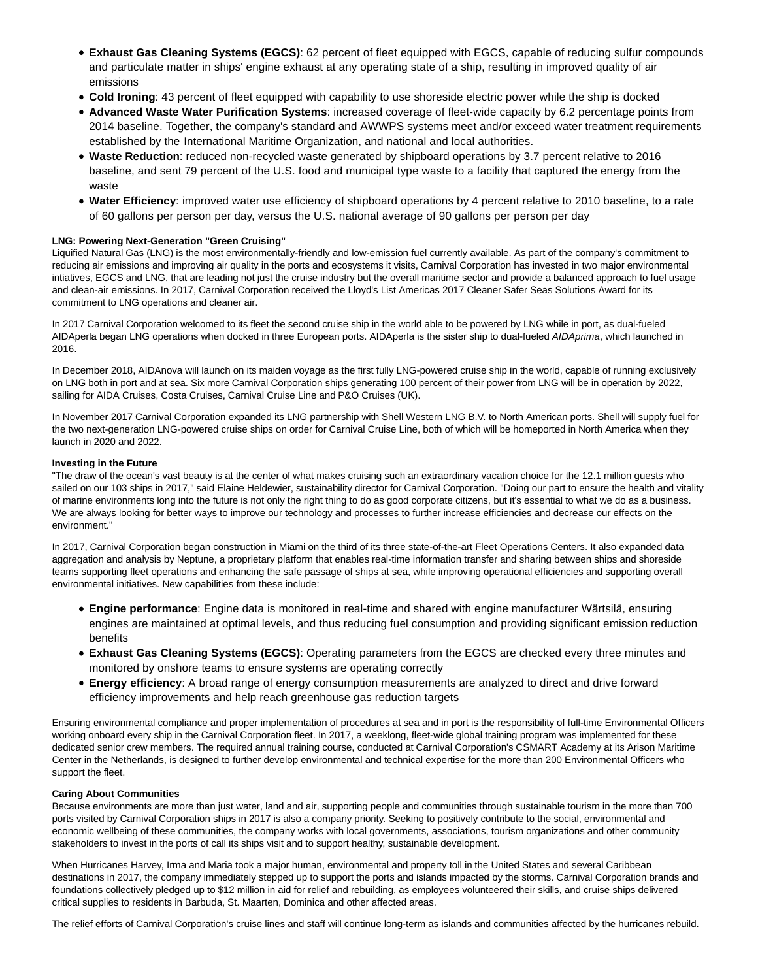- **Exhaust Gas Cleaning Systems (EGCS)**: 62 percent of fleet equipped with EGCS, capable of reducing sulfur compounds and particulate matter in ships' engine exhaust at any operating state of a ship, resulting in improved quality of air emissions
- **Cold Ironing**: 43 percent of fleet equipped with capability to use shoreside electric power while the ship is docked
- **Advanced Waste Water Purification Systems**: increased coverage of fleet-wide capacity by 6.2 percentage points from 2014 baseline. Together, the company's standard and AWWPS systems meet and/or exceed water treatment requirements established by the International Maritime Organization, and national and local authorities.
- **Waste Reduction**: reduced non-recycled waste generated by shipboard operations by 3.7 percent relative to 2016 baseline, and sent 79 percent of the U.S. food and municipal type waste to a facility that captured the energy from the waste
- **Water Efficiency**: improved water use efficiency of shipboard operations by 4 percent relative to 2010 baseline, to a rate of 60 gallons per person per day, versus the U.S. national average of 90 gallons per person per day

### **LNG: Powering Next-Generation "Green Cruising"**

Liquified Natural Gas (LNG) is the most environmentally-friendly and low-emission fuel currently available. As part of the company's commitment to reducing air emissions and improving air quality in the ports and ecosystems it visits, Carnival Corporation has invested in two major environmental intiatives, EGCS and LNG, that are leading not just the cruise industry but the overall maritime sector and provide a balanced approach to fuel usage and clean-air emissions. In 2017, Carnival Corporation received the Lloyd's List Americas 2017 Cleaner Safer Seas Solutions Award for its commitment to LNG operations and cleaner air.

In 2017 Carnival Corporation welcomed to its fleet the second cruise ship in the world able to be powered by LNG while in port, as dual-fueled AIDAperla began LNG operations when docked in three European ports. AIDAperla is the sister ship to dual-fueled AIDAprima, which launched in 2016.

In December 2018, AIDAnova will launch on its maiden voyage as the first fully LNG-powered cruise ship in the world, capable of running exclusively on LNG both in port and at sea. Six more Carnival Corporation ships generating 100 percent of their power from LNG will be in operation by 2022, sailing for AIDA Cruises, Costa Cruises, Carnival Cruise Line and P&O Cruises (UK).

In November 2017 Carnival Corporation expanded its LNG partnership with Shell Western LNG B.V. to North American ports. Shell will supply fuel for the two next-generation LNG-powered cruise ships on order for Carnival Cruise Line, both of which will be homeported in North America when they launch in 2020 and 2022.

### **Investing in the Future**

"The draw of the ocean's vast beauty is at the center of what makes cruising such an extraordinary vacation choice for the 12.1 million guests who sailed on our 103 ships in 2017," said Elaine Heldewier, sustainability director for Carnival Corporation. "Doing our part to ensure the health and vitality of marine environments long into the future is not only the right thing to do as good corporate citizens, but it's essential to what we do as a business. We are always looking for better ways to improve our technology and processes to further increase efficiencies and decrease our effects on the environment."

In 2017, Carnival Corporation began construction in Miami on the third of its three state-of-the-art Fleet Operations Centers. It also expanded data aggregation and analysis by Neptune, a proprietary platform that enables real-time information transfer and sharing between ships and shoreside teams supporting fleet operations and enhancing the safe passage of ships at sea, while improving operational efficiencies and supporting overall environmental initiatives. New capabilities from these include:

- **Engine performance**: Engine data is monitored in real-time and shared with engine manufacturer Wärtsilä, ensuring engines are maintained at optimal levels, and thus reducing fuel consumption and providing significant emission reduction benefits
- **Exhaust Gas Cleaning Systems (EGCS)**: Operating parameters from the EGCS are checked every three minutes and monitored by onshore teams to ensure systems are operating correctly
- **Energy efficiency**: A broad range of energy consumption measurements are analyzed to direct and drive forward efficiency improvements and help reach greenhouse gas reduction targets

Ensuring environmental compliance and proper implementation of procedures at sea and in port is the responsibility of full-time Environmental Officers working onboard every ship in the Carnival Corporation fleet. In 2017, a weeklong, fleet-wide global training program was implemented for these dedicated senior crew members. The required annual training course, conducted at Carnival Corporation's CSMART Academy at its Arison Maritime Center in the Netherlands, is designed to further develop environmental and technical expertise for the more than 200 Environmental Officers who support the fleet.

### **Caring About Communities**

Because environments are more than just water, land and air, supporting people and communities through sustainable tourism in the more than 700 ports visited by Carnival Corporation ships in 2017 is also a company priority. Seeking to positively contribute to the social, environmental and economic wellbeing of these communities, the company works with local governments, associations, tourism organizations and other community stakeholders to invest in the ports of call its ships visit and to support healthy, sustainable development.

When Hurricanes Harvey, Irma and Maria took a major human, environmental and property toll in the United States and several Caribbean destinations in 2017, the company immediately stepped up to support the ports and islands impacted by the storms. Carnival Corporation brands and foundations collectively pledged up to \$12 million in aid for relief and rebuilding, as employees volunteered their skills, and cruise ships delivered critical supplies to residents in Barbuda, St. Maarten, Dominica and other affected areas.

The relief efforts of Carnival Corporation's cruise lines and staff will continue long-term as islands and communities affected by the hurricanes rebuild.